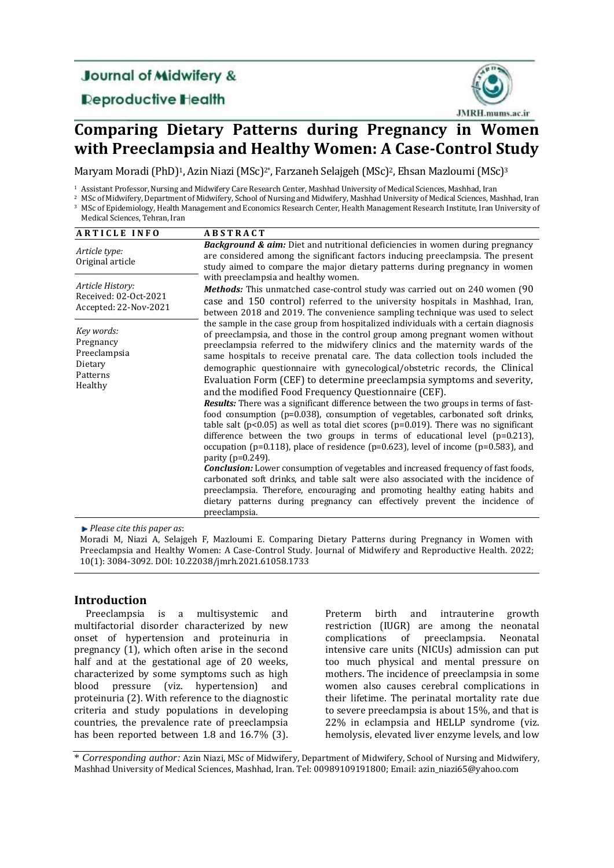# **Journal of Midwifery &**

**Deproductive Health** 



# **Comparing Dietary Patterns during Pregnancy in Women with Preeclampsia and Healthy Women: A Case-Control Study**

Maryam Moradi (PhD)<sup>1</sup>, Azin Niazi (MSc)<sup>2\*</sup>, Farzaneh Selajgeh (MSc)<sup>2</sup>, Ehsan Mazloumi (MSc)<sup>3</sup>

<sup>1</sup> Assistant Professor, Nursing and Midwifery Care Research Center, Mashhad University of Medical Sciences, Mashhad, Iran

- <sup>2</sup> MSc of Midwifery, Department of Midwifery, School of Nursing and Midwifery, Mashhad University of Medical Sciences, Mashhad, Iran
- <sup>3</sup> MSc of Epidemiology, Health Management and Economics Research Center, Health Management Research Institute, Iran University of Medical Sciences, Tehran, Iran

| <b>ARTICLE INFO</b>                                                       | <b>ABSTRACT</b>                                                                                                                                                                                                                                                                                                                                                                                                                                                                                                                                                                                                                                                                                                                                                                                                                                                                                                                                                                                                                                                                                                                                                                                                                                                                                                                                                                                                         |
|---------------------------------------------------------------------------|-------------------------------------------------------------------------------------------------------------------------------------------------------------------------------------------------------------------------------------------------------------------------------------------------------------------------------------------------------------------------------------------------------------------------------------------------------------------------------------------------------------------------------------------------------------------------------------------------------------------------------------------------------------------------------------------------------------------------------------------------------------------------------------------------------------------------------------------------------------------------------------------------------------------------------------------------------------------------------------------------------------------------------------------------------------------------------------------------------------------------------------------------------------------------------------------------------------------------------------------------------------------------------------------------------------------------------------------------------------------------------------------------------------------------|
| Article type:<br>Original article                                         | <b>Background &amp; aim:</b> Diet and nutritional deficiencies in women during pregnancy<br>are considered among the significant factors inducing preeclampsia. The present<br>study aimed to compare the major dietary patterns during pregnancy in women                                                                                                                                                                                                                                                                                                                                                                                                                                                                                                                                                                                                                                                                                                                                                                                                                                                                                                                                                                                                                                                                                                                                                              |
| Article History:<br>Received: 02-Oct-2021<br>Accepted: 22-Nov-2021        | with preeclampsia and healthy women.<br><b>Methods:</b> This unmatched case-control study was carried out on 240 women (90)<br>case and 150 control) referred to the university hospitals in Mashhad, Iran,<br>between 2018 and 2019. The convenience sampling technique was used to select                                                                                                                                                                                                                                                                                                                                                                                                                                                                                                                                                                                                                                                                                                                                                                                                                                                                                                                                                                                                                                                                                                                             |
| Key words:<br>Pregnancy<br>Preeclampsia<br>Dietary<br>Patterns<br>Healthy | the sample in the case group from hospitalized individuals with a certain diagnosis<br>of preeclampsia, and those in the control group among pregnant women without<br>preeclampsia referred to the midwifery clinics and the maternity wards of the<br>same hospitals to receive prenatal care. The data collection tools included the<br>demographic questionnaire with gynecological/obstetric records, the Clinical<br>Evaluation Form (CEF) to determine preeclampsia symptoms and severity,<br>and the modified Food Frequency Questionnaire (CEF).<br><b>Results:</b> There was a significant difference between the two groups in terms of fast-<br>food consumption (p=0.038), consumption of vegetables, carbonated soft drinks,<br>table salt ( $p<0.05$ ) as well as total diet scores ( $p=0.019$ ). There was no significant<br>difference between the two groups in terms of educational level $(p=0.213)$ ,<br>occupation ( $p=0.118$ ), place of residence ( $p=0.623$ ), level of income ( $p=0.583$ ), and<br>parity ( $p=0.249$ ).<br><b>Conclusion:</b> Lower consumption of vegetables and increased frequency of fast foods,<br>carbonated soft drinks, and table salt were also associated with the incidence of<br>preeclampsia. Therefore, encouraging and promoting healthy eating habits and<br>dietary patterns during pregnancy can effectively prevent the incidence of<br>preeclampsia. |

*Please cite this paper as*:

Moradi M, Niazi A, Selajgeh F, Mazloumi E. Comparing Dietary Patterns during Pregnancy in Women with Preeclampsia and Healthy Women: A Case-Control Study. Journal of Midwifery and Reproductive Health. 2022; 10(1): 3084-3092. DOI: 10.22038/jmrh.2021.61058.1733

## **Introduction**

Preeclampsia is a multisystemic and multifactorial disorder characterized by new onset of hypertension and proteinuria in pregnancy (1), which often arise in the second half and at the gestational age of 20 weeks, characterized by some symptoms such as high blood pressure (viz. hypertension) and proteinuria (2). With reference to the diagnostic criteria and study populations in developing countries, the prevalence rate of preeclampsia has been reported between 1.8 and 16.7% (3). Preterm birth and intrauterine growth restriction (IUGR) are among the neonatal complications of preeclampsia. Neonatal intensive care units (NICUs) admission can put too much physical and mental pressure on mothers. The incidence of preeclampsia in some women also causes cerebral complications in their lifetime. The perinatal mortality rate due to severe preeclampsia is about 15%, and that is 22% in eclampsia and HELLP syndrome (viz. hemolysis, elevated liver enzyme levels, and low

\* *Corresponding author:* Azin Niazi, MSc of Midwifery, Department of Midwifery, School of Nursing and Midwifery, Mashhad University of Medical Sciences, Mashhad, Iran. Tel: 00989109191800; Email: azin\_niazi65@yahoo.com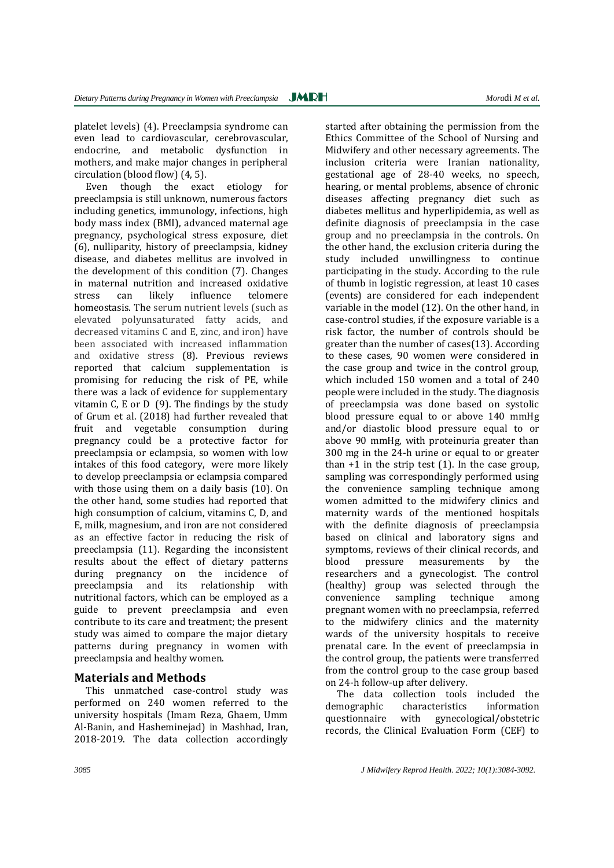platelet levels) (4). Preeclampsia syndrome can even lead to cardiovascular, cerebrovascular, endocrine, and metabolic dysfunction in mothers, and make major changes in peripheral circulation (blood flow) (4, 5).

Even though the exact etiology for preeclampsia is still unknown, numerous factors including genetics, immunology, infections, high body mass index (BMI), advanced maternal age pregnancy, psychological stress exposure, diet (6), nulliparity, history of preeclampsia, kidney disease, and diabetes mellitus are involved in the development of this condition (7). Changes in maternal nutrition and increased oxidative stress can likely influence telomere homeostasis. The serum nutrient levels (such as elevated polyunsaturated fatty acids, and decreased vitamins C and E, zinc, and iron) have been associated with increased inflammation and oxidative stress (8). Previous reviews reported that calcium supplementation is promising for reducing the risk of PE, while there was a lack of evidence for supplementary vitamin C, E or D (9). The findings by the study of Grum et al. (2018) had further revealed that fruit and vegetable consumption during pregnancy could be a protective factor for preeclampsia or eclampsia, so women with low intakes of this food category, were more likely to develop preeclampsia or eclampsia compared with those using them on a daily basis (10). On the other hand, some studies had reported that high consumption of calcium, vitamins C, D, and E, milk, magnesium, and iron are not considered as an effective factor in reducing the risk of preeclampsia (11). Regarding the inconsistent results about the effect of dietary patterns during pregnancy on the incidence of preeclampsia and its relationship with nutritional factors, which can be employed as a guide to prevent preeclampsia and even contribute to its care and treatment; the present study was aimed to compare the major dietary patterns during pregnancy in women with preeclampsia and healthy women.

## **Materials and Methods**

This unmatched case-control study was performed on 240 women referred to the university hospitals (Imam Reza, Ghaem, Umm Al-Banin, and Hasheminejad) in Mashhad, Iran, 2018-2019. The data collection accordingly

started after obtaining the permission from the Ethics Committee of the School of Nursing and Midwifery and other necessary agreements. The inclusion criteria were Iranian nationality, gestational age of 28-40 weeks, no speech, hearing, or mental problems, absence of chronic diseases affecting pregnancy diet such as diabetes mellitus and hyperlipidemia, as well as definite diagnosis of preeclampsia in the case group and no preeclampsia in the controls. On the other hand, the exclusion criteria during the study included unwillingness to continue participating in the study. According to the rule of thumb in logistic regression, at least 10 cases (events) are considered for each independent variable in the model (12). On the other hand, in case-control studies, if the exposure variable is a risk factor, the number of controls should be greater than the number of cases(13). According to these cases, 90 women were considered in the case group and twice in the control group, which included 150 women and a total of 240 people were included in the study. The diagnosis of preeclampsia was done based on systolic blood pressure equal to or above 140 mmHg and/or diastolic blood pressure equal to or above 90 mmHg, with proteinuria greater than 300 mg in the 24-h urine or equal to or greater than  $+1$  in the strip test  $(1)$ . In the case group, sampling was correspondingly performed using the convenience sampling technique among women admitted to the midwifery clinics and maternity wards of the mentioned hospitals with the definite diagnosis of preeclampsia based on clinical and laboratory signs and symptoms, reviews of their clinical records, and blood pressure measurements by the researchers and a gynecologist. The control (healthy) group was selected through the convenience sampling technique among pregnant women with no preeclampsia, referred to the midwifery clinics and the maternity wards of the university hospitals to receive prenatal care. In the event of preeclampsia in the control group, the patients were transferred from the control group to the case group based on 24-h follow-up after delivery.

The data collection tools included the demographic characteristics information questionnaire with gynecological/obstetric records, the Clinical Evaluation Form (CEF) to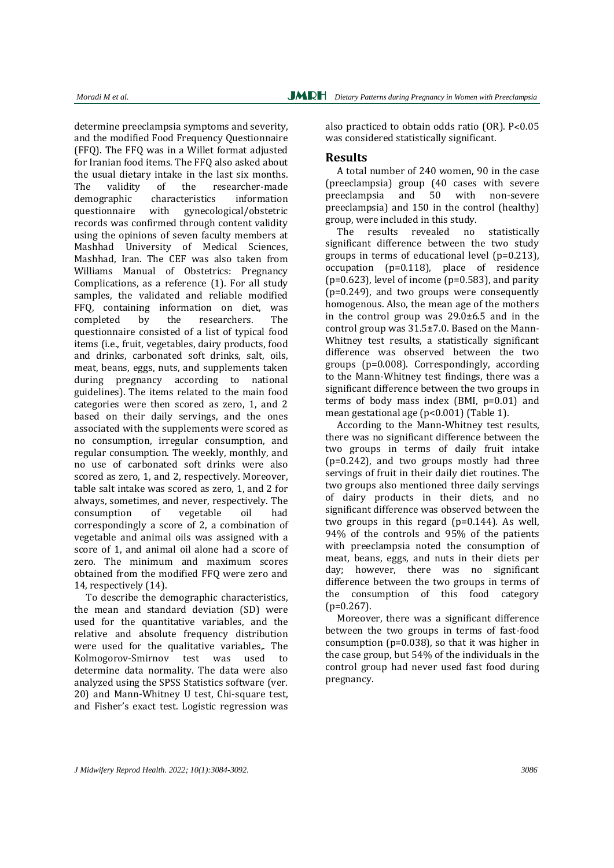determine preeclampsia symptoms and severity, and the modified Food Frequency Questionnaire (FFQ). The FFQ was in a Willet format adjusted for Iranian food items. The FFQ also asked about the usual dietary intake in the last six months. The validity of the researcher-made demographic characteristics information questionnaire with gynecological/obstetric records was confirmed through content validity using the opinions of seven faculty members at Mashhad University of Medical Sciences, Mashhad, Iran. The CEF was also taken from Williams Manual of Obstetrics: Pregnancy Complications, as a reference (1). For all study samples, the validated and reliable modified FFQ, containing information on diet, was completed by the researchers. The questionnaire consisted of a list of typical food items (i.e., fruit, vegetables, dairy products, food and drinks, carbonated soft drinks, salt, oils, meat, beans, eggs, nuts, and supplements taken during pregnancy according to national guidelines). The items related to the main food categories were then scored as zero, 1, and 2 based on their daily servings, and the ones associated with the supplements were scored as no consumption, irregular consumption, and regular consumption. The weekly, monthly, and no use of carbonated soft drinks were also scored as zero, 1, and 2, respectively. Moreover, table salt intake was scored as zero, 1, and 2 for always, sometimes, and never, respectively. The consumption of vegetable oil had correspondingly a score of 2, a combination of vegetable and animal oils was assigned with a score of 1, and animal oil alone had a score of zero. The minimum and maximum scores obtained from the modified FFQ were zero and 14, respectively (14).

To describe the demographic characteristics, the mean and standard deviation (SD) were used for the quantitative variables, and the relative and absolute frequency distribution were used for the qualitative variables,. The Kolmogorov-Smirnov test was used to determine data normality. The data were also analyzed using the SPSS Statistics software (ver. 20) and Mann-Whitney U test, Chi-square test, and Fisher's exact test. Logistic regression was

also practiced to obtain odds ratio (OR). P˂0.05 was considered statistically significant.

## **Results**

A total number of 240 women, 90 in the case (preeclampsia) group (40 cases with severe preeclampsia and 50 with non-severe preeclampsia) and 150 in the control (healthy) group, were included in this study.

The results revealed no statistically significant difference between the two study groups in terms of educational level (p=0.213), occupation (p=0.118), place of residence  $(p=0.623)$ , level of income  $(p=0.583)$ , and parity (p=0.249), and two groups were consequently homogenous. Also, the mean age of the mothers in the control group was 29.0±6.5 and in the control group was 31.5±7.0. Based on the Mann-Whitney test results, a statistically significant difference was observed between the two groups (p=0.008). Correspondingly, according to the Mann-Whitney test findings, there was a significant difference between the two groups in terms of body mass index (BMI, p=0.01) and mean gestational age (p<0.001) (Table 1).

According to the Mann-Whitney test results, there was no significant difference between the two groups in terms of daily fruit intake (p=0.242), and two groups mostly had three servings of fruit in their daily diet routines. The two groups also mentioned three daily servings of dairy products in their diets, and no significant difference was observed between the two groups in this regard (p=0.144). As well, 94% of the controls and 95% of the patients with preeclampsia noted the consumption of meat, beans, eggs, and nuts in their diets per day; however, there was no significant difference between the two groups in terms of the consumption of this food category  $(p=0.267)$ .

Moreover, there was a significant difference between the two groups in terms of fast-food consumption (p=0.038), so that it was higher in the case group, but 54% of the individuals in the control group had never used fast food during pregnancy.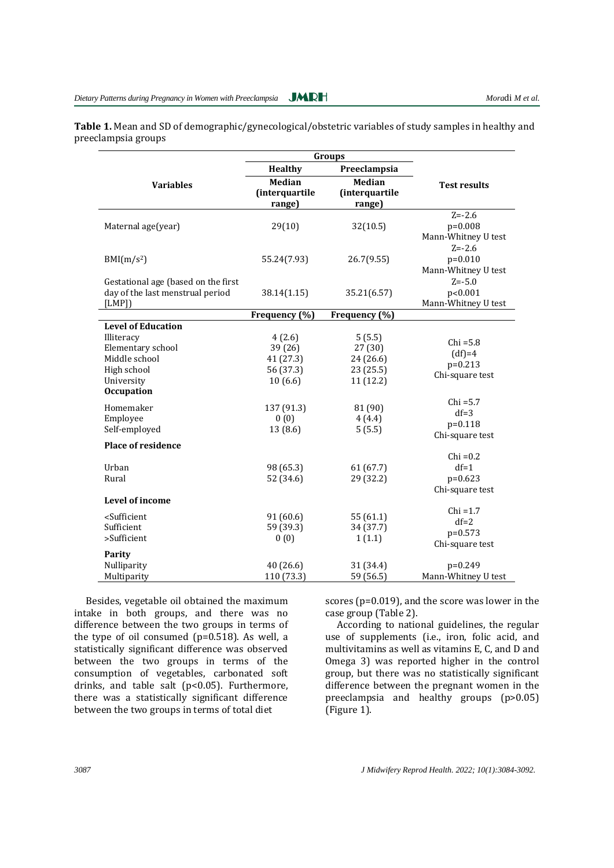**Table 1.** Mean and SD of demographic/gynecological/obstetric variables of study samples in healthy and preeclampsia groups

|                                                                                               | Groups                               |                  |                     |  |  |
|-----------------------------------------------------------------------------------------------|--------------------------------------|------------------|---------------------|--|--|
|                                                                                               | <b>Healthy</b>                       | Preeclampsia     |                     |  |  |
| <b>Variables</b>                                                                              | <b>Median</b>                        | <b>Median</b>    | <b>Test results</b> |  |  |
|                                                                                               | (interquartile                       | (interquartile   |                     |  |  |
|                                                                                               | range)                               | range)           |                     |  |  |
|                                                                                               |                                      |                  | $Z = -2.6$          |  |  |
| Maternal age(year)                                                                            | 29(10)                               | 32(10.5)         | $p=0.008$           |  |  |
|                                                                                               |                                      |                  | Mann-Whitney U test |  |  |
|                                                                                               |                                      |                  | $Z = -2.6$          |  |  |
| BMI(m/s <sup>2</sup> )                                                                        | 55.24(7.93)                          | 26.7(9.55)       | $p=0.010$           |  |  |
|                                                                                               |                                      |                  | Mann-Whitney U test |  |  |
| Gestational age (based on the first                                                           |                                      |                  | $Z = -5.0$          |  |  |
| day of the last menstrual period                                                              | 38.14(1.15)                          | 35.21(6.57)      | p<0.001             |  |  |
| [LMP]                                                                                         |                                      |                  | Mann-Whitney U test |  |  |
|                                                                                               | Frequency (%)                        | Frequency (%)    |                     |  |  |
| <b>Level of Education</b>                                                                     |                                      |                  |                     |  |  |
| Illiteracy<br>Elementary school                                                               | 4(2.6)<br>39 (26)                    | 5(5.5)<br>27(30) | $Chi = 5.8$         |  |  |
| Middle school                                                                                 | 41 (27.3)                            | 24 (26.6)        | $(df)=4$            |  |  |
| High school                                                                                   | 56 (37.3)<br>23 (25.5)               |                  | $p=0.213$           |  |  |
| University                                                                                    | 10(6.6)                              | 11 (12.2)        | Chi-square test     |  |  |
| <b>Occupation</b>                                                                             |                                      |                  |                     |  |  |
|                                                                                               |                                      |                  | $Chi = 5.7$         |  |  |
| Homemaker<br>Employee                                                                         | 137 (91.3)                           | 81 (90)          | $df=3$              |  |  |
| Self-employed                                                                                 | 0(0)<br>4(4.4)<br>13 (8.6)<br>5(5.5) |                  | $p = 0.118$         |  |  |
|                                                                                               |                                      |                  | Chi-square test     |  |  |
| <b>Place of residence</b>                                                                     |                                      |                  |                     |  |  |
|                                                                                               |                                      |                  | $Chi = 0.2$         |  |  |
| Urban                                                                                         | 98 (65.3)                            | 61(67.7)         | $df=1$              |  |  |
| Rural                                                                                         | 52 (34.6)                            | 29 (32.2)        | $p=0.623$           |  |  |
| <b>Level of income</b>                                                                        |                                      |                  | Chi-square test     |  |  |
|                                                                                               |                                      |                  | $Chi = 1.7$         |  |  |
| <sufficient< td=""><td>91(60.6)</td><td>55(61.1)</td><td><math>df=2</math></td></sufficient<> | 91(60.6)                             | 55(61.1)         | $df=2$              |  |  |
| Sufficient                                                                                    | 59 (39.3)                            | 34 (37.7)        | $p=0.573$           |  |  |
| >Sufficient                                                                                   | 0(0)<br>1(1.1)                       |                  | Chi-square test     |  |  |
| Parity                                                                                        |                                      |                  |                     |  |  |
| Nulliparity                                                                                   | 40 (26.6)                            | 31 (34.4)        | p=0.249             |  |  |
| Multiparity                                                                                   | 110 (73.3)                           | 59 (56.5)        | Mann-Whitney U test |  |  |

Besides, vegetable oil obtained the maximum intake in both groups, and there was no difference between the two groups in terms of the type of oil consumed  $(p=0.518)$ . As well, a statistically significant difference was observed between the two groups in terms of the consumption of vegetables, carbonated soft drinks, and table salt (p<0.05). Furthermore, there was a statistically significant difference between the two groups in terms of total diet

scores (p=0.019), and the score was lower in the case group (Table 2).

According to national guidelines, the regular use of supplements (i.e., iron, folic acid, and multivitamins as well as vitamins E, C, and D and Omega 3) was reported higher in the control group, but there was no statistically significant difference between the pregnant women in the preeclampsia and healthy groups (p>0.05) (Figure 1).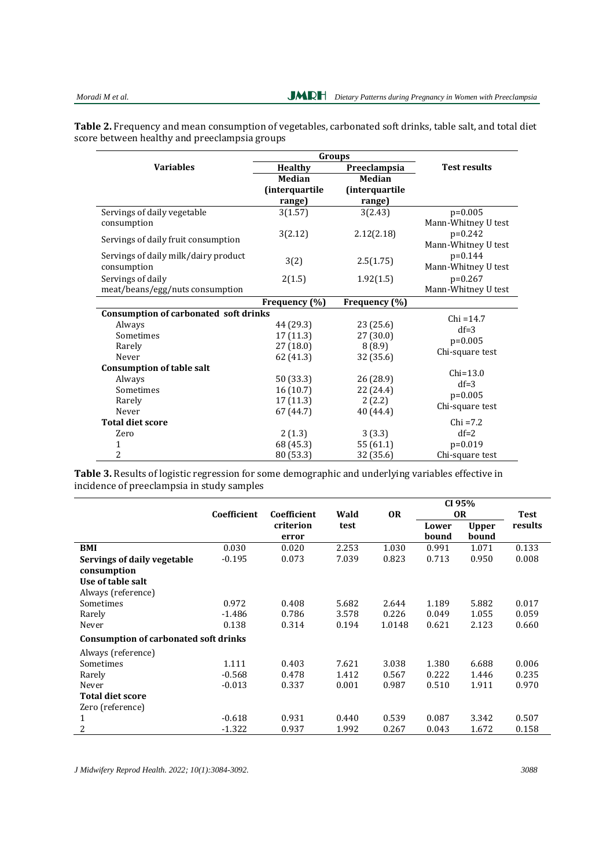**Table 2.** Frequency and mean consumption of vegetables, carbonated soft drinks, table salt, and total diet score between healthy and preeclampsia groups

|                                              | Groups                 |                |                     |  |  |
|----------------------------------------------|------------------------|----------------|---------------------|--|--|
| <b>Variables</b>                             | <b>Healthy</b>         | Preeclampsia   | <b>Test results</b> |  |  |
|                                              | Median                 | Median         |                     |  |  |
|                                              | <i>(interquartile)</i> | (interquartile |                     |  |  |
|                                              | range)                 | range)         |                     |  |  |
| Servings of daily vegetable                  | 3(1.57)                | 3(2.43)        | $p=0.005$           |  |  |
| consumption                                  |                        |                | Mann-Whitney U test |  |  |
| Servings of daily fruit consumption          | 3(2.12)                | 2.12(2.18)     | $p=0.242$           |  |  |
|                                              |                        |                | Mann-Whitney U test |  |  |
| Servings of daily milk/dairy product         |                        | 2.5(1.75)      | $p=0.144$           |  |  |
| consumption                                  | 3(2)                   |                | Mann-Whitney U test |  |  |
| Servings of daily                            | 2(1.5)                 | 1.92(1.5)      | $p=0.267$           |  |  |
| meat/beans/egg/nuts consumption              |                        |                | Mann-Whitney U test |  |  |
|                                              | Frequency (%)          | Frequency (%)  |                     |  |  |
| <b>Consumption of carbonated soft drinks</b> |                        |                | $Chi = 14.7$        |  |  |
| Always                                       | 44 (29.3)              | 23 (25.6)      | $df=3$              |  |  |
| Sometimes                                    | 17(11.3)               | 27(30.0)       | $p=0.005$           |  |  |
| Rarely                                       | 27(18.0)               | 8(8.9)         | Chi-square test     |  |  |
| Never                                        | 62 (41.3)              | 32 (35.6)      |                     |  |  |
| <b>Consumption of table salt</b>             |                        |                | $Chi=13.0$          |  |  |
| Always                                       | 50 (33.3)              | 26 (28.9)      | $df=3$              |  |  |
| Sometimes                                    | 16(10.7)               | 22 (24.4)      | $p=0.005$           |  |  |
| Rarely                                       | 17(11.3)               | 2(2.2)         | Chi-square test     |  |  |
| Never                                        | 67 (44.7)              | 40 (44.4)      |                     |  |  |
| <b>Total diet score</b>                      |                        |                | $Chi = 7.2$         |  |  |
| Zero                                         | 2(1.3)                 | 3(3.3)         | $df=2$              |  |  |
| 1                                            | 68 (45.3)              | 55(61.1)       | $p=0.019$           |  |  |
| 2                                            | 80 (53.3)              | 32 (35.6)      | Chi-square test     |  |  |

**Table 3.** Results of logistic regression for some demographic and underlying variables effective in incidence of preeclampsia in study samples

|                                              |             | Coefficient |       |           | CI 95%    |              | <b>Test</b> |
|----------------------------------------------|-------------|-------------|-------|-----------|-----------|--------------|-------------|
|                                              | Coefficient |             | Wald  | <b>OR</b> | <b>OR</b> |              |             |
|                                              |             | criterion   | test  |           | Lower     | <b>Upper</b> | results     |
|                                              |             | error       |       |           | bound     | bound        |             |
| BMI                                          | 0.030       | 0.020       | 2.253 | 1.030     | 0.991     | 1.071        | 0.133       |
| Servings of daily vegetable                  | $-0.195$    | 0.073       | 7.039 | 0.823     | 0.713     | 0.950        | 0.008       |
| consumption                                  |             |             |       |           |           |              |             |
| Use of table salt                            |             |             |       |           |           |              |             |
| Always (reference)                           |             |             |       |           |           |              |             |
| Sometimes                                    | 0.972       | 0.408       | 5.682 | 2.644     | 1.189     | 5.882        | 0.017       |
| Rarely                                       | $-1.486$    | 0.786       | 3.578 | 0.226     | 0.049     | 1.055        | 0.059       |
| Never                                        | 0.138       | 0.314       | 0.194 | 1.0148    | 0.621     | 2.123        | 0.660       |
| <b>Consumption of carbonated soft drinks</b> |             |             |       |           |           |              |             |
| Always (reference)                           |             |             |       |           |           |              |             |
| Sometimes                                    | 1.111       | 0.403       | 7.621 | 3.038     | 1.380     | 6.688        | 0.006       |
| Rarely                                       | $-0.568$    | 0.478       | 1.412 | 0.567     | 0.222     | 1.446        | 0.235       |
| Never                                        | $-0.013$    | 0.337       | 0.001 | 0.987     | 0.510     | 1.911        | 0.970       |
| <b>Total diet score</b>                      |             |             |       |           |           |              |             |
| Zero (reference)                             |             |             |       |           |           |              |             |
| 1                                            | $-0.618$    | 0.931       | 0.440 | 0.539     | 0.087     | 3.342        | 0.507       |
| 2                                            | $-1.322$    | 0.937       | 1.992 | 0.267     | 0.043     | 1.672        | 0.158       |

*J Midwifery Reprod Health. 2022; 10(1):3084-3092. 3088*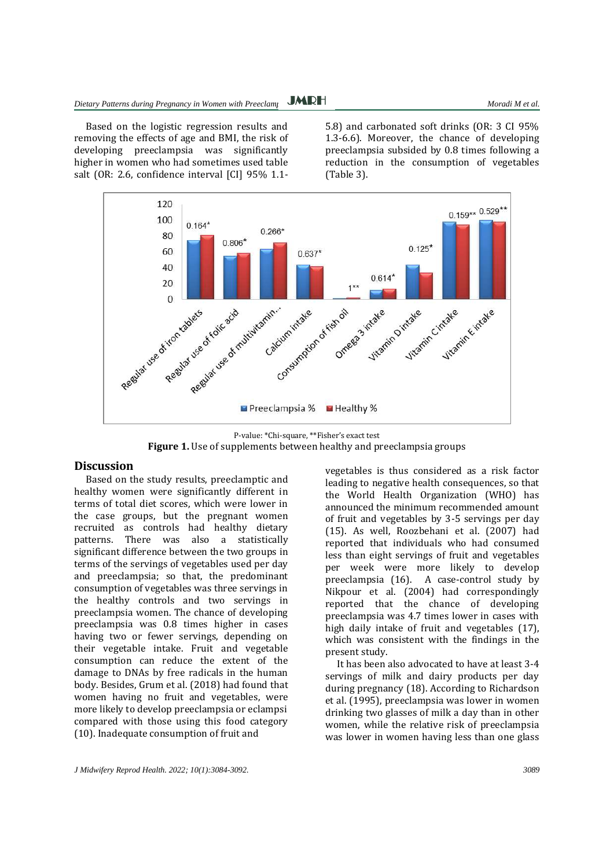Based on the logistic regression results and removing the effects of age and BMI, the risk of developing preeclampsia was significantly higher in women who had sometimes used table salt (OR: 2.6, confidence interval [CI] 95% 1.15.8) and carbonated soft drinks (OR: 3 CI 95% 1.3-6.6). Moreover, the chance of developing preeclampsia subsided by 0.8 times following a reduction in the consumption of vegetables (Table 3).



P-value: \*Chi-square, \*\*Fisher's exact test **Figure 1.** Use of supplements between healthy and preeclampsia groups

#### **Discussion**

Based on the study results, preeclamptic and healthy women were significantly different in terms of total diet scores, which were lower in the case groups, but the pregnant women recruited as controls had healthy dietary patterns. There was also a statistically significant difference between the two groups in terms of the servings of vegetables used per day and preeclampsia; so that, the predominant consumption of vegetables was three servings in the healthy controls and two servings in preeclampsia women. The chance of developing preeclampsia was 0.8 times higher in cases having two or fewer servings, depending on their vegetable intake. Fruit and vegetable consumption can reduce the extent of the damage to DNAs by free radicals in the human body. Besides, Grum et al. (2018) had found that women having no fruit and vegetables, were more likely to develop preeclampsia or eclampsi compared with those using this food category (10). Inadequate consumption of fruit and

leading to negative health consequences, so that the World Health Organization (WHO) has announced the minimum recommended amount of fruit and vegetables by 3-5 servings per day (15). As well, Roozbehani et al. (2007) had reported that individuals who had consumed less than eight servings of fruit and vegetables per week were more likely to develop preeclampsia (16). A case-control study by Nikpour et al. (2004) had correspondingly reported that the chance of developing preeclampsia was 4.7 times lower in cases with high daily intake of fruit and vegetables (17), which was consistent with the findings in the present study.

vegetables is thus considered as a risk factor

It has been also advocated to have at least 3-4 servings of milk and dairy products per day during pregnancy (18). According to Richardson et al. (1995), preeclampsia was lower in women drinking two glasses of milk a day than in other women, while the relative risk of preeclampsia was lower in women having less than one glass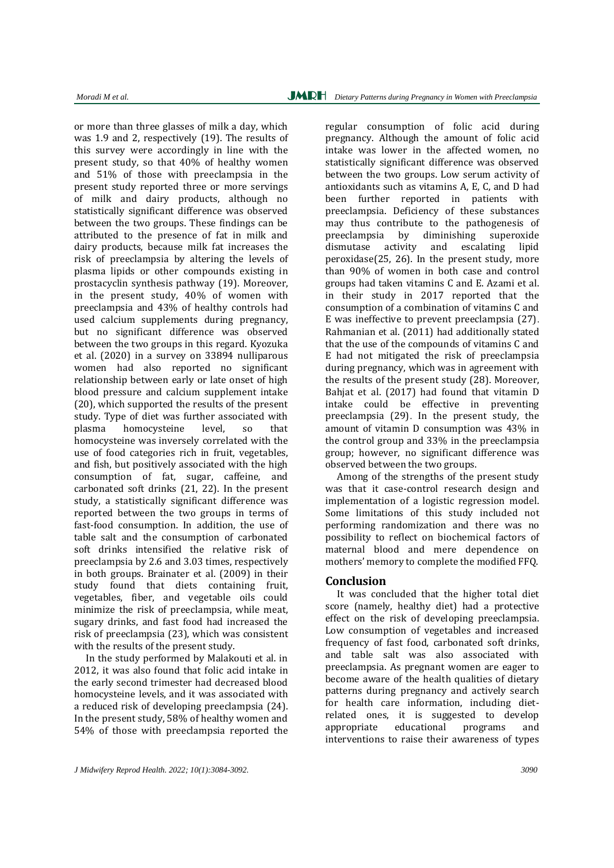or more than three glasses of milk a day, which was 1.9 and 2, respectively (19). The results of this survey were accordingly in line with the present study, so that 40% of healthy women and 51% of those with preeclampsia in the present study reported three or more servings of milk and dairy products, although no statistically significant difference was observed between the two groups. These findings can be attributed to the presence of fat in milk and dairy products, because milk fat increases the risk of preeclampsia by altering the levels of plasma lipids or other compounds existing in prostacyclin synthesis pathway (19). Moreover, in the present study, 40% of women with preeclampsia and 43% of healthy controls had used calcium supplements during pregnancy, but no significant difference was observed between the two groups in this regard. Kyozuka et al. (2020) in a survey on 33894 nulliparous women had also reported no significant relationship between early or late onset of high blood pressure and calcium supplement intake (20), which supported the results of the present study. Type of diet was further associated with plasma homocysteine level, so that homocysteine was inversely correlated with the use of food categories rich in fruit, vegetables, and fish, but positively associated with the high consumption of fat, sugar, caffeine, and carbonated soft drinks (21, 22). In the present study, a statistically significant difference was reported between the two groups in terms of fast-food consumption. In addition, the use of table salt and the consumption of carbonated soft drinks intensified the relative risk of preeclampsia by 2.6 and 3.03 times, respectively in both groups. Brainater et al. (2009) in their study found that diets containing fruit, vegetables, fiber, and vegetable oils could minimize the risk of preeclampsia, while meat, sugary drinks, and fast food had increased the risk of preeclampsia (23), which was consistent with the results of the present study.

In the study performed by Malakouti et al. in 2012, it was also found that folic acid intake in the early second trimester had decreased blood homocysteine levels, and it was associated with a reduced risk of developing preeclampsia (24). In the present study, 58% of healthy women and 54% of those with preeclampsia reported the regular consumption of folic acid during pregnancy. Although the amount of folic acid intake was lower in the affected women, no statistically significant difference was observed between the two groups. Low serum activity of antioxidants such as vitamins A, E, C, and D had been further reported in patients with preeclampsia. Deficiency of these substances may thus contribute to the pathogenesis of preeclampsia by diminishing superoxide dismutase activity and escalating lipid peroxidase(25, 26). In the present study, more than 90% of women in both case and control groups had taken vitamins C and E. Azami et al. in their study in 2017 reported that the consumption of a combination of vitamins C and E was ineffective to prevent preeclampsia (27). Rahmanian et al. (2011) had additionally stated that the use of the compounds of vitamins C and E had not mitigated the risk of preeclampsia during pregnancy, which was in agreement with the results of the present study (28). Moreover, Bahjat et al. (2017) had found that vitamin D intake could be effective in preventing preeclampsia (29). In the present study, the amount of vitamin D consumption was 43% in the control group and 33% in the preeclampsia group; however, no significant difference was observed between the two groups.

Among of the strengths of the present study was that it case-control research design and implementation of a logistic regression model. Some limitations of this study included not performing randomization and there was no possibility to reflect on biochemical factors of maternal blood and mere dependence on mothers' memory to complete the modified FFQ.

## **Conclusion**

It was concluded that the higher total diet score (namely, healthy diet) had a protective effect on the risk of developing preeclampsia. Low consumption of vegetables and increased frequency of fast food, carbonated soft drinks, and table salt was also associated with preeclampsia. As pregnant women are eager to become aware of the health qualities of dietary patterns during pregnancy and actively search for health care information, including dietrelated ones, it is suggested to develop appropriate educational programs and interventions to raise their awareness of types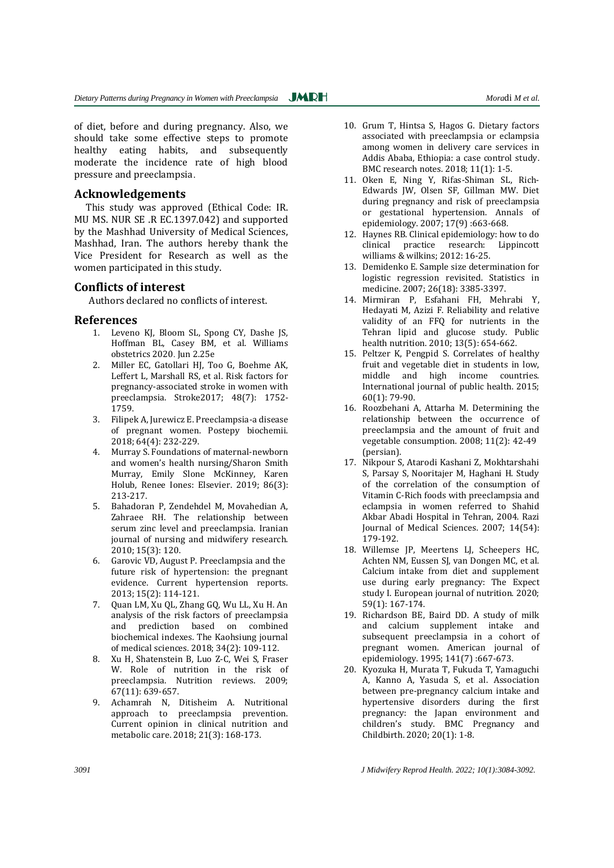of diet, before and during pregnancy. Also, we should take some effective steps to promote healthy eating habits, and subsequently moderate the incidence rate of high blood pressure and preeclampsia.

### **Acknowledgements**

This study was approved (Ethical Code: IR. MU MS. NUR SE .R EC.1397.042) and supported by the Mashhad University of Medical Sciences, Mashhad, Iran. The authors hereby thank the Vice President for Research as well as the women participated in this study.

## **Conflicts of interest**

Authors declared no conflicts of interest.

#### **References**

- 1. Leveno KJ, Bloom SL, Spong CY, Dashe JS, Hoffman BL, Casey BM, et al. Williams obstetrics 2020. Jun 2.25e
- 2. Miller EC, Gatollari HJ, Too G, Boehme AK, Leffert L, Marshall RS, et al. Risk factors for pregnancy-associated stroke in women with preeclampsia. Stroke2017; 48(7): 1752- 1759.
- 3. Filipek A, Jurewicz E. Preeclampsia-a disease of pregnant women. Postepy biochemii. 2018; 64(4): 232-229.
- 4. Murray S. Foundations of maternal-newborn and women's health nursing/Sharon Smith Murray, Emily Slone McKinney, Karen Holub, Renee Iones: Elsevier. 2019; 86(3): 213-217.
- 5. Bahadoran P, Zendehdel M, Movahedian A, Zahraee RH. The relationship between serum zinc level and preeclampsia. Iranian journal of nursing and midwifery research. 2010; 15(3): 120.
- 6. Garovic VD, August P. Preeclampsia and the future risk of hypertension: the pregnant evidence. Current hypertension reports. 2013; 15(2): 114-121.
- 7. Quan LM, Xu QL, Zhang GQ, Wu LL, Xu H. An analysis of the risk factors of preeclampsia and prediction based on combined biochemical indexes. The Kaohsiung journal of medical sciences. 2018; 34(2): 109-112.
- 8. Xu H, Shatenstein B, Luo Z-C, Wei S, Fraser W. Role of nutrition in the risk of preeclampsia. Nutrition reviews. 2009; 67(11): 639-657.
- 9. Achamrah N, Ditisheim A. Nutritional approach to preeclampsia prevention. Current opinion in clinical nutrition and metabolic care. 2018; 21(3): 168-173.
- 10. Grum T, Hintsa S, Hagos G. Dietary factors associated with preeclampsia or eclampsia among women in delivery care services in Addis Ababa, Ethiopia: a case control study. BMC research notes. 2018; 11(1): 1-5.
- 11. Oken E, Ning Y, Rifas-Shiman SL, Rich-Edwards JW, Olsen SF, Gillman MW. Diet during pregnancy and risk of preeclampsia or gestational hypertension. Annals of epidemiology. 2007; 17(9) :663-668.
- 12. Haynes RB. Clinical epidemiology: how to do clinical practice research: Lippincott williams & wilkins; 2012: 16-25.
- 13. Demidenko E. Sample size determination for logistic regression revisited. Statistics in medicine. 2007; 26(18): 3385-3397.
- 14. Mirmiran P, Esfahani FH, Mehrabi Y, Hedayati M, Azizi F. Reliability and relative validity of an FFQ for nutrients in the Tehran lipid and glucose study. Public health nutrition. 2010; 13(5): 654-662.
- 15. Peltzer K, Pengpid S. Correlates of healthy fruit and vegetable diet in students in low, middle and high income countries. International journal of public health. 2015; 60(1): 79-90.
- 16. Roozbehani A, Attarha M. Determining the relationship between the occurrence of preeclampsia and the amount of fruit and vegetable consumption. 2008; 11(2): 42-49 (persian).
- 17. Nikpour S, Atarodi Kashani Z, Mokhtarshahi S, Parsay S, Nooritajer M, Haghani H. Study of the correlation of the consumption of Vitamin C-Rich foods with preeclampsia and eclampsia in women referred to Shahid Akbar Abadi Hospital in Tehran, 2004. Razi Journal of Medical Sciences. 2007; 14(54): 179-192.
- 18. Willemse JP, Meertens LJ, Scheepers HC, Achten NM, Eussen SJ, van Dongen MC, et al. Calcium intake from diet and supplement use during early pregnancy: The Expect study I. European journal of nutrition. 2020; 59(1): 167-174.
- 19. Richardson BE, Baird DD. A study of milk and calcium supplement intake and subsequent preeclampsia in a cohort of pregnant women. American journal of epidemiology. 1995; 141(7) :667-673.
- 20. Kyozuka H, Murata T, Fukuda T, Yamaguchi A, Kanno A, Yasuda S, et al. Association between pre-pregnancy calcium intake and hypertensive disorders during the first pregnancy: the Japan environment and children's study. BMC Pregnancy and Childbirth. 2020; 20(1): 1-8.

*3091 J Midwifery Reprod Health. 2022; 10(1):3084-3092.*